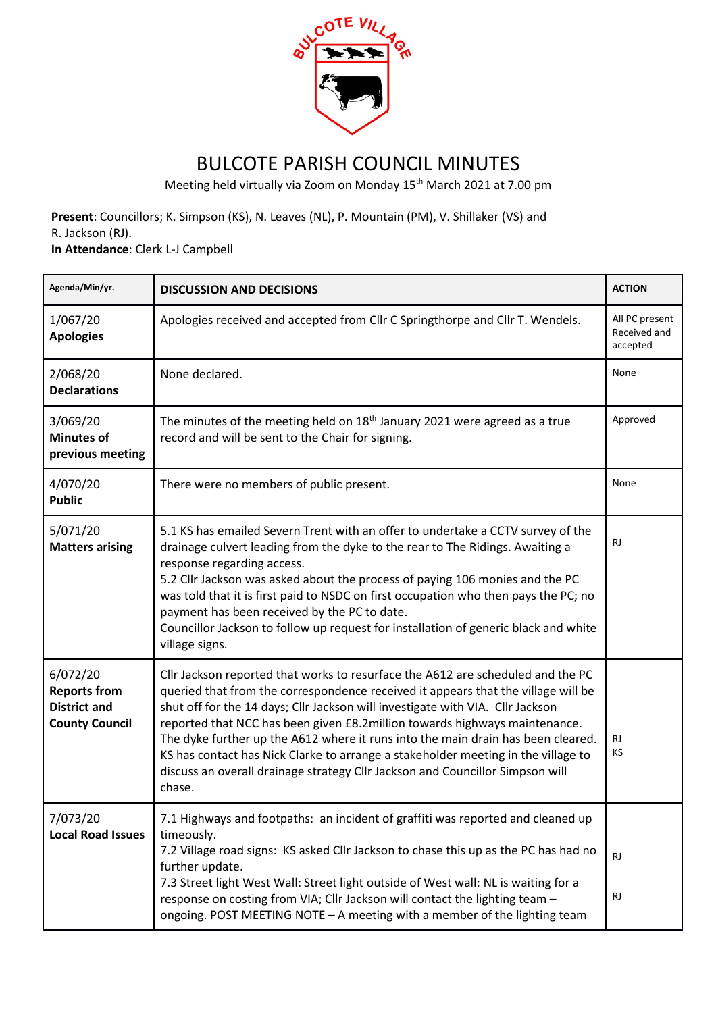

## BULCOTE PARISH COUNCIL MINUTES

Meeting held virtually via Zoom on Monday 15th March 2021 at 7.00 pm

**Present**: Councillors; K. Simpson (KS), N. Leaves (NL), P. Mountain (PM), V. Shillaker (VS) and R. Jackson (RJ).

**In Attendance**: Clerk L-J Campbell

| Agenda/Min/yr.                                                                  | <b>DISCUSSION AND DECISIONS</b>                                                                                                                                                                                                                                                                                                                                                                                                                                                                                                                                                                           | <b>ACTION</b>                              |
|---------------------------------------------------------------------------------|-----------------------------------------------------------------------------------------------------------------------------------------------------------------------------------------------------------------------------------------------------------------------------------------------------------------------------------------------------------------------------------------------------------------------------------------------------------------------------------------------------------------------------------------------------------------------------------------------------------|--------------------------------------------|
| 1/067/20<br><b>Apologies</b>                                                    | Apologies received and accepted from Cllr C Springthorpe and Cllr T. Wendels.                                                                                                                                                                                                                                                                                                                                                                                                                                                                                                                             | All PC present<br>Received and<br>accepted |
| 2/068/20<br><b>Declarations</b>                                                 | None declared.                                                                                                                                                                                                                                                                                                                                                                                                                                                                                                                                                                                            | None                                       |
| 3/069/20<br><b>Minutes of</b><br>previous meeting                               | The minutes of the meeting held on 18 <sup>th</sup> January 2021 were agreed as a true<br>record and will be sent to the Chair for signing.                                                                                                                                                                                                                                                                                                                                                                                                                                                               | Approved                                   |
| 4/070/20<br><b>Public</b>                                                       | There were no members of public present.                                                                                                                                                                                                                                                                                                                                                                                                                                                                                                                                                                  | None                                       |
| 5/071/20<br><b>Matters arising</b>                                              | 5.1 KS has emailed Severn Trent with an offer to undertake a CCTV survey of the<br>drainage culvert leading from the dyke to the rear to The Ridings. Awaiting a<br>response regarding access.<br>5.2 Cllr Jackson was asked about the process of paying 106 monies and the PC<br>was told that it is first paid to NSDC on first occupation who then pays the PC; no<br>payment has been received by the PC to date.<br>Councillor Jackson to follow up request for installation of generic black and white<br>village signs.                                                                            | RJ.                                        |
| 6/072/20<br><b>Reports from</b><br><b>District and</b><br><b>County Council</b> | Cllr Jackson reported that works to resurface the A612 are scheduled and the PC<br>queried that from the correspondence received it appears that the village will be<br>shut off for the 14 days; Cllr Jackson will investigate with VIA. Cllr Jackson<br>reported that NCC has been given £8.2 million towards highways maintenance.<br>The dyke further up the A612 where it runs into the main drain has been cleared.<br>KS has contact has Nick Clarke to arrange a stakeholder meeting in the village to<br>discuss an overall drainage strategy Cllr Jackson and Councillor Simpson will<br>chase. | <b>RJ</b><br>KS                            |
| 7/073/20<br><b>Local Road Issues</b>                                            | 7.1 Highways and footpaths: an incident of graffiti was reported and cleaned up<br>timeously.<br>7.2 Village road signs: KS asked Cllr Jackson to chase this up as the PC has had no<br>further update.<br>7.3 Street light West Wall: Street light outside of West wall: NL is waiting for a<br>response on costing from VIA; Cllr Jackson will contact the lighting team -<br>ongoing. POST MEETING NOTE - A meeting with a member of the lighting team                                                                                                                                                 | <b>RJ</b><br><b>RJ</b>                     |